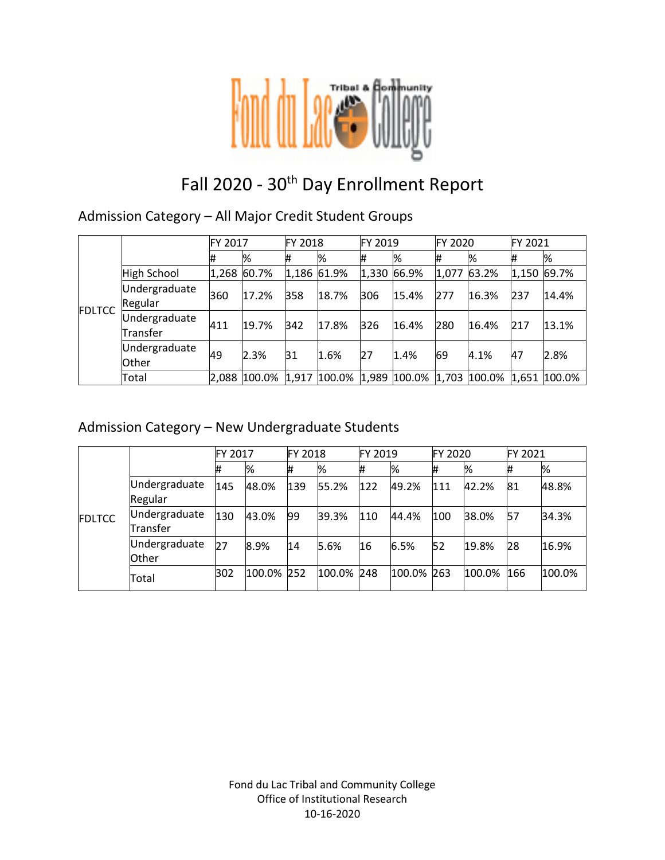

# Fall 2020 - 30<sup>th</sup> Day Enrollment Report

Admission Category – All Major Credit Student Groups

|               |                           | FY 2017 |              | <b>FY 2018</b> |              | FY 2019 |                           | FY 2020 |       | <b>FY 2021</b> |        |
|---------------|---------------------------|---------|--------------|----------------|--------------|---------|---------------------------|---------|-------|----------------|--------|
|               |                           | #       | %            | #              | %            | #       | %                         | #       | %     | #              | %      |
|               | High School               |         | 1,268 60.7%  |                | 1,186 61.9%  | 1,330   | 66.9%                     | 1,077   | 63.2% | 1,150          | 69.7%  |
| <b>FDLTCC</b> | Undergraduate<br>Regular  | 360     | 17.2%        | 358            | 18.7%        | 306     | 15.4%                     | 277     | 16.3% | 237            | 14.4%  |
|               | Undergraduate<br>Transfer | 411     | 19.7%        | 342            | 17.8%        | 326     | 16.4%                     | 280     | 16.4% | 217            | 13.1%  |
|               | Undergraduate<br>Other    | 49      | 2.3%         | 31             | 1.6%         | 27      | 1.4%                      | 69      | 4.1%  | 47             | 2.8%   |
|               | Total                     |         | 2,088 100.0% |                | 1,917 100.0% |         | 1,989 100.0% 1,703 100.0% |         |       | 1,651          | 100.0% |

### Admission Category – New Undergraduate Students

|               |                               | FY 2017 |            | <b>FY 2018</b> |            | FY 2019 |            | FY 2020 |        | FY 2021 |        |
|---------------|-------------------------------|---------|------------|----------------|------------|---------|------------|---------|--------|---------|--------|
| <b>FDLTCC</b> |                               | #       | %          | #              | %          | #       | %          | #       | %      | #       | %      |
|               | Undergraduate<br>Regular      | 145     | 48.0%      | 139            | 55.2%      | 122     | 49.2%      | 111     | 42.2%  | 81      | 48.8%  |
|               | Undergraduate<br>Transfer     | 130     | 43.0%      | 99             | 39.3%      | 110     | 44.4%      | 100     | 38.0%  | 57      | 34.3%  |
|               | Undergraduate<br><b>Other</b> | 27      | 8.9%       | 14             | 5.6%       | 16      | 6.5%       | 52      | 19.8%  | 28      | 16.9%  |
|               | Total                         | 302     | 100.0% 252 |                | 100.0% 248 |         | 100.0% 263 |         | 100.0% | 166     | 100.0% |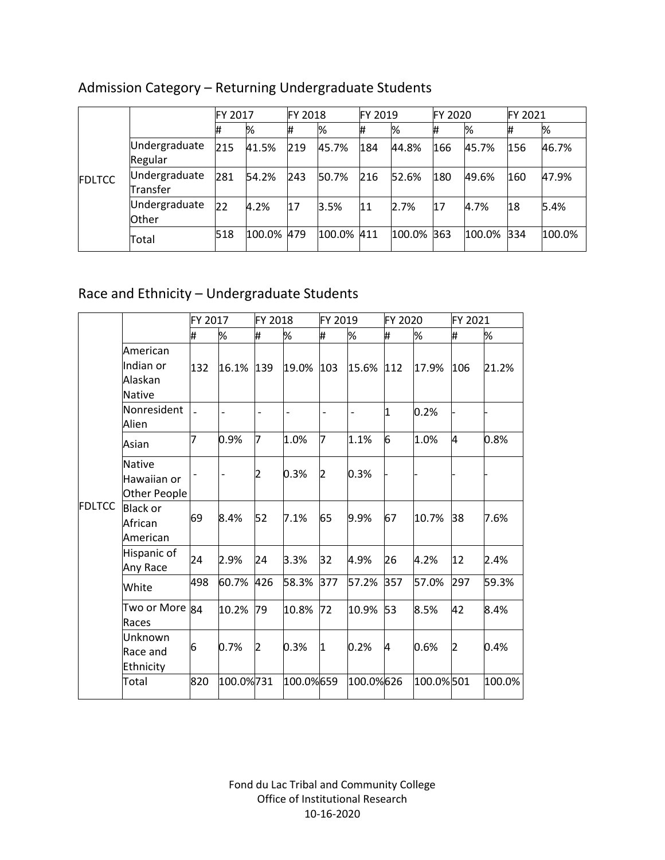|               |                               | FY 2017 |        | <b>FY 2018</b> |            | FY 2019 |            | <b>FY 2020</b> |            | FY 2021 |        |
|---------------|-------------------------------|---------|--------|----------------|------------|---------|------------|----------------|------------|---------|--------|
| <b>FDLTCC</b> |                               | 11      | %      | #              | %          | #       | %          | #              | %          | #       | %      |
|               | Undergraduate<br>Regular      | 215     | 41.5%  | 219            | 45.7%      | 184     | 44.8%      | 166            | 45.7%      | 156     | 46.7%  |
|               | Undergraduate<br>Transfer     | 281     | 54.2%  | 243            | 50.7%      | 216     | 52.6%      | 180            | 49.6%      | 160     | 47.9%  |
|               | Undergraduate<br><b>Other</b> | 22      | 4.2%   | 17             | 3.5%       | 11      | 2.7%       | 17             | 4.7%       | 18      | 5.4%   |
|               | Total                         | 518     | 100.0% | 479            | 100.0% 411 |         | 100.0% 363 |                | 100.0% 334 |         | 100.0% |

# Admission Category – Returning Undergraduate Students

# Race and Ethnicity – Undergraduate Students

|               |                                              | FY 2017 |                          | FY 2018        |                | FY 2019        |                          | FY 2020 |           | FY 2021 |        |
|---------------|----------------------------------------------|---------|--------------------------|----------------|----------------|----------------|--------------------------|---------|-----------|---------|--------|
|               |                                              | #       | %                        | #              | %              | #              | %                        | #       | %         | #       | %      |
|               | American<br>lIndian or<br>Alaskan<br>Native  | 132     | 16.1%                    | 139            | 19.0%          | 103            | 15.6%                    | 112     | 17.9%     | 106     | 21.2%  |
|               | Nonresident<br>Alien                         |         | $\overline{\phantom{0}}$ | $\overline{a}$ | $\overline{a}$ | $\overline{a}$ | $\overline{\phantom{0}}$ | 1       | 0.2%      |         |        |
|               | Asian                                        | 7       | 0.9%                     | 7              | 1.0%           | 7              | 1.1%                     | 6       | 1.0%      | 4       | 0.8%   |
|               | <b>Native</b><br>Hawaiian or<br>Other People |         | $\overline{\phantom{0}}$ | 2              | 0.3%           | 2              | 0.3%                     |         |           |         |        |
| <b>FDLTCC</b> | <b>Black or</b><br>African<br>American       | 69      | 8.4%                     | 52             | 7.1%           | 65             | 9.9%                     | 67      | 10.7%     | 38      | 7.6%   |
|               | Hispanic of<br>Any Race                      | 24      | 2.9%                     | 24             | 3.3%           | 32             | 4.9%                     | 26      | 4.2%      | 12      | 2.4%   |
|               | White                                        | 498     | 60.7%                    | 426            | 58.3%          | 377            | 57.2%                    | 357     | 57.0%     | 297     | 59.3%  |
|               | Two or More<br>Races                         | 84      | 10.2%                    | 79             | 10.8%          | 72             | 10.9%                    | 53      | 8.5%      | 42      | 8.4%   |
|               | Unknown<br>Race and<br>Ethnicity             | 6       | 0.7%                     | 2              | 0.3%           | I1             | 0.2%                     | 4       | 0.6%      | 2       | 0.4%   |
|               | Total                                        | 820     | 100.0%731                |                | 100.0%659      |                | 100.0%626                |         | 100.0%501 |         | 100.0% |

Fond du Lac Tribal and Community College Office of Institutional Research 10-16-2020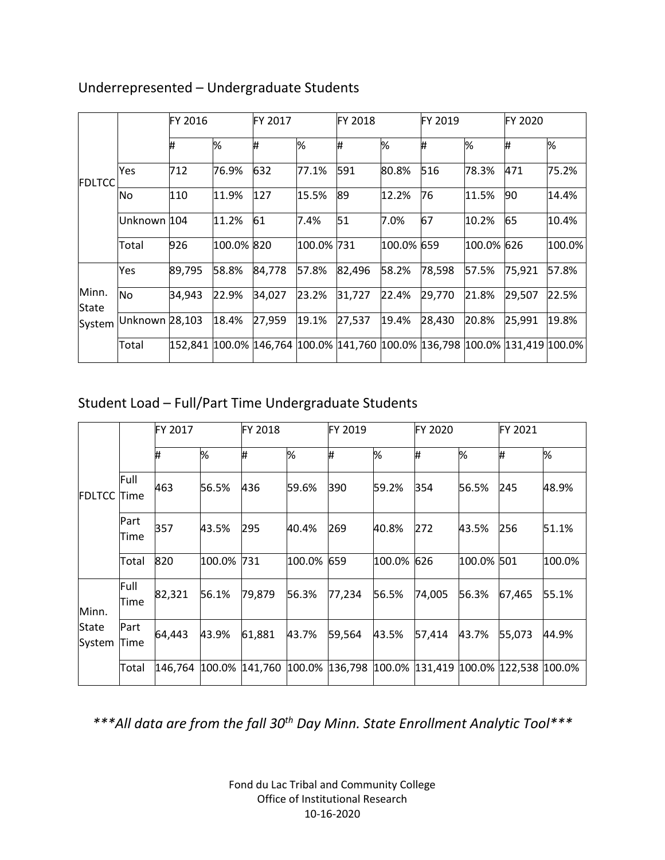|                |                | FY 2016 |            | FY 2017 |            | <b>FY 2018</b>                                                                      |            | <b>FY 2019</b> |            | FY 2020 |        |
|----------------|----------------|---------|------------|---------|------------|-------------------------------------------------------------------------------------|------------|----------------|------------|---------|--------|
| FDLTCC         |                | Ħ,      | %          | #       | %          | ₩                                                                                   | %          | Ħ,             | %          | #       | %      |
|                | Yes            | 712     | 76.9%      | 632     | 77.1%      | 591                                                                                 | 80.8%      | 516            | 78.3%      | 471     | 75.2%  |
|                | No.            | 110     | 11.9%      | 127     | 15.5%      | 89                                                                                  | 12.2%      | 76             | 11.5%      | 90      | 14.4%  |
|                | Unknown 104    |         | 11.2%      | 61      | 7.4%       | 51                                                                                  | 7.0%       | 67             | 10.2%      | 65      | 10.4%  |
|                | Total          | 926     | 100.0% 820 |         | 100.0% 731 |                                                                                     | 100.0% 659 |                | 100.0% 626 |         | 100.0% |
|                | Yes            | 89,795  | 58.8%      | 84,778  | 57.8%      | 82,496                                                                              | 58.2%      | 78,598         | 57.5%      | 75,921  | 57.8%  |
| Minn.<br>State | No             | 34,943  | 22.9%      | 34,027  | 23.2%      | 31,727                                                                              | 22.4%      | 29,770         | 21.8%      | 29,507  | 22.5%  |
| System         | Unknown 28,103 |         | 18.4%      | 27,959  | 19.1%      | 27,537                                                                              | 19.4%      | 28,430         | 20.8%      | 25,991  | 19.8%  |
|                | Total          |         |            |         |            | 152,841  100.0%  146,764  100.0%  141,760  100.0%  136,798  100.0%  131,419  100.0% |            |                |            |         |        |

### Underrepresented – Undergraduate Students

# Student Load – Full/Part Time Undergraduate Students

|                        |              | FY 2017 |        | <b>FY 2018</b> |        | FY 2019 |            | <b>FY 2020</b>                           |            | FY 2021 |        |
|------------------------|--------------|---------|--------|----------------|--------|---------|------------|------------------------------------------|------------|---------|--------|
| FDLTCC                 |              | I#      | %      | I#             | %      | Ħ,      | %          | Ħ.                                       | %          | I#      | %      |
|                        | Full<br>Time | 463     | 56.5%  | 436            | 59.6%  | 390     | 59.2%      | 354                                      | 56.5%      | 245     | 48.9%  |
|                        | Part<br>Time | 357     | 43.5%  | 295            | 40.4%  | 269     | 40.8%      | 272                                      | 43.5%      | 256     | 51.1%  |
|                        | Total        | 820     | 100.0% | 731            | 100.0% | 659     | 100.0% 626 |                                          | 100.0% 501 |         | 100.0% |
| Minn.                  | Full<br>Time | 82,321  | 56.1%  | 79,879         | 56.3%  | 77,234  | 56.5%      | 74,005                                   | 56.3%      | 67,465  | 55.1%  |
| <b>State</b><br>System | Part<br>Time | 64,443  | 43.9%  | 61,881         | 43.7%  | 59,564  | 43.5%      | 57,414                                   | 43.7%      | 55,073  | 44.9%  |
|                        | Total        | 146,764 |        | 100.0% 141,760 | 100.0% | 136,798 |            | 100.0%  131,419  100.0%  122,538  100.0% |            |         |        |

*\*\*\*All data are from the fall 30th Day Minn. State Enrollment Analytic Tool\*\*\**

Fond du Lac Tribal and Community College Office of Institutional Research 10-16-2020